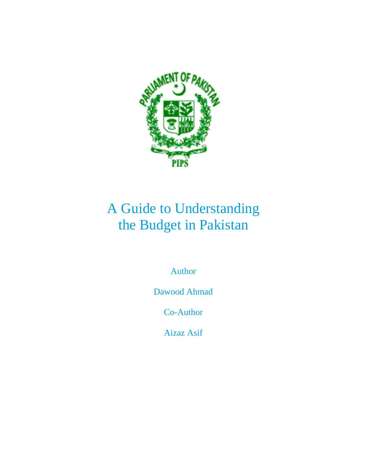

## A Guide to Understanding the Budget in Pakistan

Author

Dawood Ahmad

Co-Author

Aizaz Asif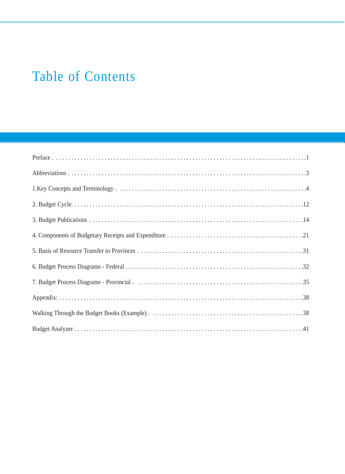# **Table of Contents**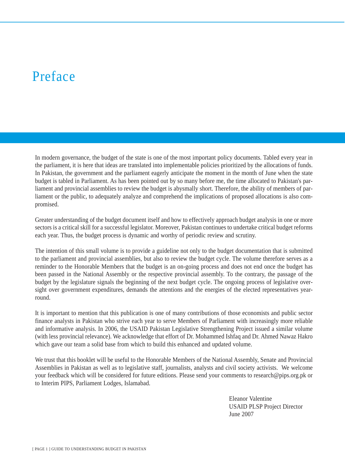## Preface

In modern governance, the budget of the state is one of the most important policy documents. Tabled every year in the parliament, it is here that ideas are translated into implementable policies prioritized by the allocations of funds. In Pakistan, the government and the parliament eagerly anticipate the moment in the month of June when the state budget is tabled in Parliament. As has been pointed out by so many before me, the time allocated to Pakistan's parliament and provincial assemblies to review the budget is abysmally short. Therefore, the ability of members of parliament or the public, to adequately analyze and comprehend the implications of proposed allocations is also compromised.

Greater understanding of the budget document itself and how to effectively approach budget analysis in one or more sectors is a critical skill for a successful legislator. Moreover, Pakistan continues to undertake critical budget reforms each year. Thus, the budget process is dynamic and worthy of periodic review and scrutiny.

The intention of this small volume is to provide a guideline not only to the budget documentation that is submitted to the parliament and provincial assemblies, but also to review the budget cycle. The volume therefore serves as a reminder to the Honorable Members that the budget is an on-going process and does not end once the budget has been passed in the National Assembly or the respective provincial assembly. To the contrary, the passage of the budget by the legislature signals the beginning of the next budget cycle. The ongoing process of legislative oversight over government expenditures, demands the attentions and the energies of the elected representatives yearround.

It is important to mention that this publication is one of many contributions of those economists and public sector finance analysts in Pakistan who strive each year to serve Members of Parliament with increasingly more reliable and informative analysis. In 2006, the USAID Pakistan Legislative Strengthening Project issued a similar volume (with less provincial relevance). We acknowledge that effort of Dr. Mohammed Ishfaq and Dr. Ahmed Nawaz Hakro which gave our team a solid base from which to build this enhanced and updated volume.

We trust that this booklet will be useful to the Honorable Members of the National Assembly, Senate and Provincial Assemblies in Pakistan as well as to legislative staff, journalists, analysts and civil society activists. We welcome your feedback which will be considered for future editions. Please send your comments to research@pips.org.pk or to Interim PIPS, Parliament Lodges, Islamabad.

> Eleanor Valentine USAID PLSP Project Director June 2007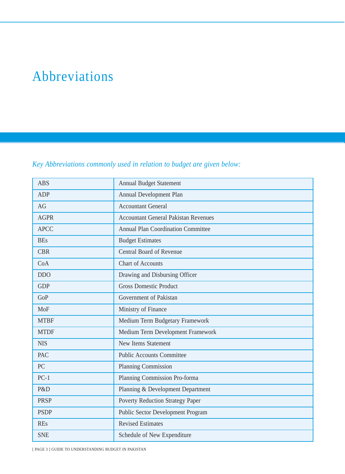## Abbreviations

### *Key Abbreviations commonly used in relation to budget are given below:*

| <b>ABS</b>  | <b>Annual Budget Statement</b>              |
|-------------|---------------------------------------------|
| <b>ADP</b>  | Annual Development Plan                     |
| AG          | <b>Accountant General</b>                   |
| <b>AGPR</b> | <b>Accountant General Pakistan Revenues</b> |
| <b>APCC</b> | <b>Annual Plan Coordination Committee</b>   |
| <b>BEs</b>  | <b>Budget Estimates</b>                     |
| <b>CBR</b>  | Central Board of Revenue                    |
| CoA         | <b>Chart of Accounts</b>                    |
| <b>DDO</b>  | Drawing and Disbursing Officer              |
| <b>GDP</b>  | <b>Gross Domestic Product</b>               |
| GoP         | Government of Pakistan                      |
| <b>MoF</b>  | Ministry of Finance                         |
| <b>MTBF</b> | Medium Term Budgetary Framework             |
| <b>MTDF</b> | Medium Term Development Framework           |
| <b>NIS</b>  | <b>New Items Statement</b>                  |
| <b>PAC</b>  | <b>Public Accounts Committee</b>            |
| PC          | Planning Commission                         |
| $PC-1$      | Planning Commission Pro-forma               |
| P&D         | Planning & Development Department           |
| <b>PRSP</b> | Poverty Reduction Strategy Paper            |
| <b>PSDP</b> | Public Sector Development Program           |
| <b>REs</b>  | <b>Revised Estimates</b>                    |
| <b>SNE</b>  | Schedule of New Expenditure                 |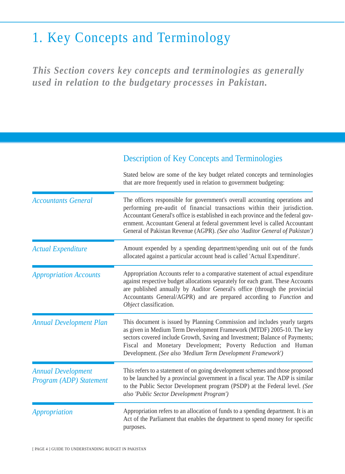## 1. Key Concepts and Terminology

*This Section covers key concepts and terminologies as generally used in relation to the budgetary processes in Pakistan.*

### Description of Key Concepts and Terminologies

|                                                      | Stated below are some of the key budget related concepts and terminologies<br>that are more frequently used in relation to government budgeting:                                                                                                                                                                                                                                                             |
|------------------------------------------------------|--------------------------------------------------------------------------------------------------------------------------------------------------------------------------------------------------------------------------------------------------------------------------------------------------------------------------------------------------------------------------------------------------------------|
| <b>Accountants General</b>                           | The officers responsible for government's overall accounting operations and<br>performing pre-audit of financial transactions within their jurisdiction.<br>Accountant General's office is established in each province and the federal gov-<br>ernment. Accountant General at federal government level is called Accountant<br>General of Pakistan Revenue (AGPR). (See also 'Auditor General of Pakistan') |
| <b>Actual Expenditure</b>                            | Amount expended by a spending department/spending unit out of the funds<br>allocated against a particular account head is called 'Actual Expenditure'.                                                                                                                                                                                                                                                       |
| <b>Appropriation Accounts</b>                        | Appropriation Accounts refer to a comparative statement of actual expenditure<br>against respective budget allocations separately for each grant. These Accounts<br>are published annually by Auditor General's office (through the provincial<br>Accountants General/AGPR) and are prepared according to Function and<br>Object classification.                                                             |
| <b>Annual Development Plan</b>                       | This document is issued by Planning Commission and includes yearly targets<br>as given in Medium Term Development Framework (MTDF) 2005-10. The key<br>sectors covered include Growth, Saving and Investment; Balance of Payments;<br>Fiscal and Monetary Development; Poverty Reduction and Human<br>Development. (See also 'Medium Term Development Framework')                                            |
| <b>Annual Development</b><br>Program (ADP) Statement | This refers to a statement of on going development schemes and those proposed<br>to be launched by a provincial government in a fiscal year. The ADP is similar<br>to the Public Sector Development program (PSDP) at the Federal level. (See<br>also 'Public Sector Development Program')                                                                                                                   |
| <i>Appropriation</i>                                 | Appropriation refers to an allocation of funds to a spending department. It is an<br>Act of the Parliament that enables the department to spend money for specific<br>purposes.                                                                                                                                                                                                                              |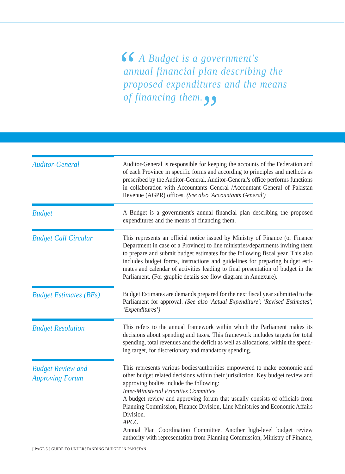**46 A Budget is a government's**<br>annual financial plan describin<br>proposed expenditures and the *annual financial plan describing the proposed expenditures and the means*  of financing them. *()* 

| <b>Auditor-General</b>                             | Auditor-General is responsible for keeping the accounts of the Federation and<br>of each Province in specific forms and according to principles and methods as<br>prescribed by the Auditor-General. Auditor-General's office performs functions<br>in collaboration with Accountants General /Accountant General of Pakistan<br>Revenue (AGPR) offices. (See also 'Accountants General')                                                                                                                                                                                                                  |
|----------------------------------------------------|------------------------------------------------------------------------------------------------------------------------------------------------------------------------------------------------------------------------------------------------------------------------------------------------------------------------------------------------------------------------------------------------------------------------------------------------------------------------------------------------------------------------------------------------------------------------------------------------------------|
| <b>Budget</b>                                      | A Budget is a government's annual financial plan describing the proposed<br>expenditures and the means of financing them.                                                                                                                                                                                                                                                                                                                                                                                                                                                                                  |
| <b>Budget Call Circular</b>                        | This represents an official notice issued by Ministry of Finance (or Finance<br>Department in case of a Province) to line ministries/departments inviting them<br>to prepare and submit budget estimates for the following fiscal year. This also<br>includes budget forms, instructions and guidelines for preparing budget esti-<br>mates and calendar of activities leading to final presentation of budget in the<br>Parliament. (For graphic details see flow diagram in Annexure).                                                                                                                   |
| <b>Budget Estimates (BEs)</b>                      | Budget Estimates are demands prepared for the next fiscal year submitted to the<br>Parliament for approval. (See also 'Actual Expenditure'; 'Revised Estimates';<br>'Expenditures')                                                                                                                                                                                                                                                                                                                                                                                                                        |
| <b>Budget Resolution</b>                           | This refers to the annual framework within which the Parliament makes its<br>decisions about spending and taxes. This framework includes targets for total<br>spending, total revenues and the deficit as well as allocations, within the spend-<br>ing target, for discretionary and mandatory spending.                                                                                                                                                                                                                                                                                                  |
| <b>Budget Review and</b><br><b>Approving Forum</b> | This represents various bodies/authorities empowered to make economic and<br>other budget related decisions within their jurisdiction. Key budget review and<br>approving bodies include the following:<br><b>Inter-Ministerial Priorities Committee</b><br>A budget review and approving forum that usually consists of officials from<br>Planning Commission, Finance Division, Line Ministries and Economic Affairs<br>Division.<br><b>APCC</b><br>Annual Plan Coordination Committee. Another high-level budget review<br>authority with representation from Planning Commission, Ministry of Finance, |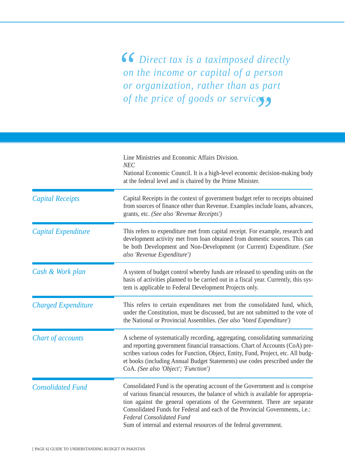*Direct tax is a taximposed directly on the income or capital of a person or organization, rather than as part of the price of goods or services.*  $\frac{66}{\pi}$ 

|                            | Line Ministries and Economic Affairs Division.<br><b>NEC</b><br>National Economic Council. It is a high-level economic decision-making body<br>at the federal level and is chaired by the Prime Minister.                                                                                                                                                                                                                              |
|----------------------------|----------------------------------------------------------------------------------------------------------------------------------------------------------------------------------------------------------------------------------------------------------------------------------------------------------------------------------------------------------------------------------------------------------------------------------------|
| <b>Capital Receipts</b>    | Capital Receipts in the context of government budget refer to receipts obtained<br>from sources of finance other than Revenue. Examples include loans, advances,<br>grants, etc. (See also 'Revenue Receipts')                                                                                                                                                                                                                         |
| Capital Expenditure        | This refers to expenditure met from capital receipt. For example, research and<br>development activity met from loan obtained from domestic sources. This can<br>be both Development and Non-Development (or Current) Expenditure. (See<br>also 'Revenue Expenditure')                                                                                                                                                                 |
| Cash & Work plan           | A system of budget control whereby funds are released to spending units on the<br>basis of activities planned to be carried out in a fiscal year. Currently, this sys-<br>tem is applicable to Federal Development Projects only.                                                                                                                                                                                                      |
| <b>Charged Expenditure</b> | This refers to certain expenditures met from the consolidated fund, which,<br>under the Constitution, must be discussed, but are not submitted to the vote of<br>the National or Provincial Assemblies. (See also 'Voted Expenditure')                                                                                                                                                                                                 |
| Chart of accounts          | A scheme of systematically recording, aggregating, consolidating summarizing<br>and reporting government financial transactions. Chart of Accounts (CoA) pre-<br>scribes various codes for Function, Object, Entity, Fund, Project, etc. All budg-<br>et books (including Annual Budget Statements) use codes prescribed under the<br>CoA. (See also 'Object'; 'Function')                                                             |
| <b>Consolidated Fund</b>   | Consolidated Fund is the operating account of the Government and is comprise<br>of various financial resources, the balance of which is available for appropria-<br>tion against the general operations of the Government. There are separate<br>Consolidated Funds for Federal and each of the Provincial Governments, i.e.:<br><b>Federal Consolidated Fund</b><br>Sum of internal and external resources of the federal government. |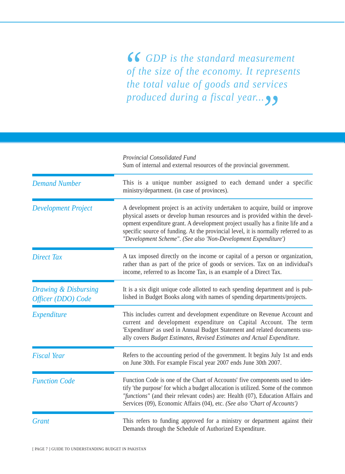**66 GDP** is the standard measurement of the size of the economy. It represents<br>the total value of acods and services *of the size of the economy. It represents the total value of goods and services* produced during a fiscal year... **()** 

|                                                                                                                                                                                                                                                                                                                                                                                                                                       | Provincial Consolidated Fund<br>Sum of internal and external resources of the provincial government.                                                                                                                                                                                                                            |  |
|---------------------------------------------------------------------------------------------------------------------------------------------------------------------------------------------------------------------------------------------------------------------------------------------------------------------------------------------------------------------------------------------------------------------------------------|---------------------------------------------------------------------------------------------------------------------------------------------------------------------------------------------------------------------------------------------------------------------------------------------------------------------------------|--|
| <b>Demand Number</b><br>This is a unique number assigned to each demand under a specific<br>ministry/department. (in case of provinces).                                                                                                                                                                                                                                                                                              |                                                                                                                                                                                                                                                                                                                                 |  |
| <b>Development Project</b><br>A development project is an activity undertaken to acquire, build or improve<br>physical assets or develop human resources and is provided within the devel-<br>opment expenditure grant. A development project usually has a finite life and a<br>specific source of funding. At the provincial level, it is normally referred to as<br>"Development Scheme". (See also 'Non-Development Expenditure') |                                                                                                                                                                                                                                                                                                                                 |  |
| <b>Direct Tax</b>                                                                                                                                                                                                                                                                                                                                                                                                                     | A tax imposed directly on the income or capital of a person or organization,<br>rather than as part of the price of goods or services. Tax on an individual's<br>income, referred to as Income Tax, is an example of a Direct Tax.                                                                                              |  |
| Drawing & Disbursing<br>Officer (DDO) Code                                                                                                                                                                                                                                                                                                                                                                                            | It is a six digit unique code allotted to each spending department and is pub-<br>lished in Budget Books along with names of spending departments/projects.                                                                                                                                                                     |  |
| Expenditure<br>This includes current and development expenditure on Revenue Account and<br>current and development expenditure on Capital Account. The term<br>'Expenditure' as used in Annual Budget Statement and related documents usu-<br>ally covers Budget Estimates, Revised Estimates and Actual Expenditure.                                                                                                                 |                                                                                                                                                                                                                                                                                                                                 |  |
| <b>Fiscal Year</b>                                                                                                                                                                                                                                                                                                                                                                                                                    | Refers to the accounting period of the government. It begins July 1st and ends<br>on June 30th. For example Fiscal year 2007 ends June 30th 2007.                                                                                                                                                                               |  |
| <b>Function Code</b>                                                                                                                                                                                                                                                                                                                                                                                                                  | Function Code is one of the Chart of Accounts' five components used to iden-<br>tify 'the purpose' for which a budget allocation is utilized. Some of the common<br>"functions" (and their relevant codes) are: Health (07), Education Affairs and<br>Services (09), Economic Affairs (04), etc. (See also 'Chart of Accounts') |  |
| Grant                                                                                                                                                                                                                                                                                                                                                                                                                                 | This refers to funding approved for a ministry or department against their<br>Demands through the Schedule of Authorized Expenditure.                                                                                                                                                                                           |  |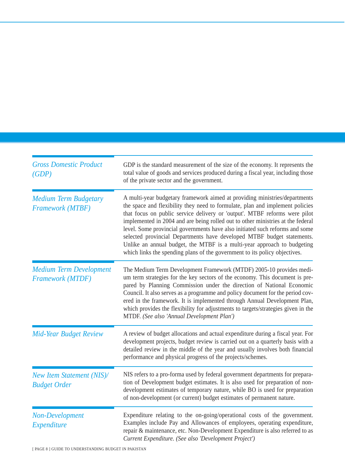| <b>Gross Domestic Product</b><br>(GDP)                    | GDP is the standard measurement of the size of the economy. It represents the<br>total value of goods and services produced during a fiscal year, including those<br>of the private sector and the government.                                                                                                                                                                                                                                                                                                                                                                                                                                  |  |
|-----------------------------------------------------------|-------------------------------------------------------------------------------------------------------------------------------------------------------------------------------------------------------------------------------------------------------------------------------------------------------------------------------------------------------------------------------------------------------------------------------------------------------------------------------------------------------------------------------------------------------------------------------------------------------------------------------------------------|--|
| <b>Medium Term Budgetary</b><br><b>Framework</b> (MTBF)   | A multi-year budgetary framework aimed at providing ministries/departments<br>the space and flexibility they need to formulate, plan and implement policies<br>that focus on public service delivery or 'output'. MTBF reforms were pilot<br>implemented in 2004 and are being rolled out to other ministries at the federal<br>level. Some provincial governments have also initiated such reforms and some<br>selected provincial Departments have developed MTBF budget statements.<br>Unlike an annual budget, the MTBF is a multi-year approach to budgeting<br>which links the spending plans of the government to its policy objectives. |  |
| <b>Medium Term Development</b><br><b>Framework</b> (MTDF) | The Medium Term Development Framework (MTDF) 2005-10 provides medi-<br>um term strategies for the key sectors of the economy. This document is pre-<br>pared by Planning Commission under the direction of National Economic<br>Council. It also serves as a programme and policy document for the period cov-<br>ered in the framework. It is implemented through Annual Development Plan,<br>which provides the flexibility for adjustments to targets/strategies given in the<br>MTDF. (See also 'Annual Development Plan')                                                                                                                  |  |
| <b>Mid-Year Budget Review</b>                             | A review of budget allocations and actual expenditure during a fiscal year. For<br>development projects, budget review is carried out on a quarterly basis with a<br>detailed review in the middle of the year and usually involves both financial<br>performance and physical progress of the projects/schemes.                                                                                                                                                                                                                                                                                                                                |  |
| <b>New Item Statement (NIS)/</b><br><b>Budget Order</b>   | NIS refers to a pro-forma used by federal government departments for prepara-<br>tion of Development budget estimates. It is also used for preparation of non-<br>development estimates of temporary nature, while BO is used for preparation<br>of non-development (or current) budget estimates of permanent nature.                                                                                                                                                                                                                                                                                                                          |  |
| Non-Development<br>Expenditure                            | Expenditure relating to the on-going/operational costs of the government.<br>Examples include Pay and Allowances of employees, operating expenditure,<br>repair & maintenance, etc. Non-Development Expenditure is also referred to as<br>Current Expenditure. (See also 'Development Project')                                                                                                                                                                                                                                                                                                                                                 |  |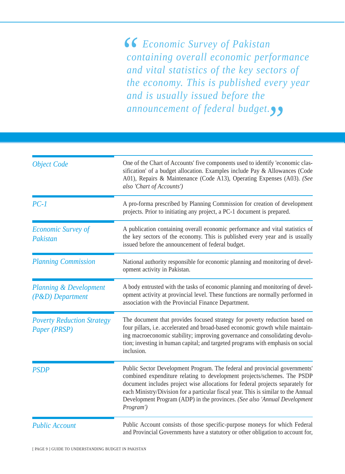**Example 2018** *Economic Survey of Pakistan*<br> *containing overall economic pergand vital statistics of the key see containing overall economic performance and vital statistics of the key sectors of the economy. This is published every year and is usually issued before the* announcement of federal budget. *()* 

| <b>Object Code</b>                                    | One of the Chart of Accounts' five components used to identify 'economic clas-<br>sification' of a budget allocation. Examples include Pay & Allowances (Code<br>A01), Repairs & Maintenance (Code A13), Operating Expenses (A03). (See<br>also 'Chart of Accounts')                                                                                                                                                    |  |
|-------------------------------------------------------|-------------------------------------------------------------------------------------------------------------------------------------------------------------------------------------------------------------------------------------------------------------------------------------------------------------------------------------------------------------------------------------------------------------------------|--|
| $PC-1$                                                | A pro-forma prescribed by Planning Commission for creation of development<br>projects. Prior to initiating any project, a PC-1 document is prepared.                                                                                                                                                                                                                                                                    |  |
| Economic Survey of<br>Pakistan                        | A publication containing overall economic performance and vital statistics of<br>the key sectors of the economy. This is published every year and is usually<br>issued before the announcement of federal budget.                                                                                                                                                                                                       |  |
| <b>Planning Commission</b>                            | National authority responsible for economic planning and monitoring of devel-<br>opment activity in Pakistan.                                                                                                                                                                                                                                                                                                           |  |
| <b>Planning &amp; Development</b><br>(P&D) Department | A body entrusted with the tasks of economic planning and monitoring of devel-<br>opment activity at provincial level. These functions are normally performed in<br>association with the Provincial Finance Department.                                                                                                                                                                                                  |  |
| <b>Poverty Reduction Strategy</b><br>Paper (PRSP)     | The document that provides focused strategy for poverty reduction based on<br>four pillars, i.e. accelerated and broad-based economic growth while maintain-<br>ing macroeconomic stability; improving governance and consolidating devolu-<br>tion; investing in human capital; and targeted programs with emphasis on social<br>inclusion.                                                                            |  |
| <b>PSDP</b>                                           | Public Sector Development Program. The federal and provincial governments'<br>combined expenditure relating to development projects/schemes. The PSDP<br>document includes project wise allocations for federal projects separately for<br>each Ministry/Division for a particular fiscal year. This is similar to the Annual<br>Development Program (ADP) in the provinces. (See also 'Annual Development<br>Program') |  |
| <b>Public Account</b>                                 | Public Account consists of those specific-purpose moneys for which Federal<br>and Provincial Governments have a statutory or other obligation to account for,                                                                                                                                                                                                                                                           |  |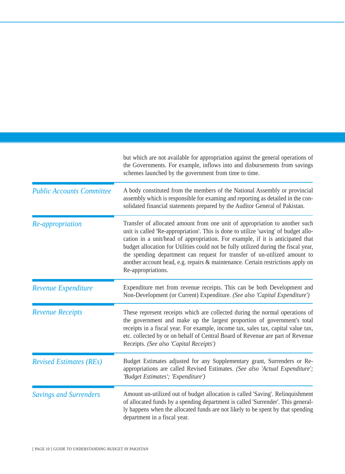|                                                                                                                                                                                                                                                                                                                                                                                                                                                                                                                                                       | but which are not available for appropriation against the general operations of<br>the Governments. For example, inflows into and disbursements from savings<br>schemes launched by the government from time to time.                                                                 |
|-------------------------------------------------------------------------------------------------------------------------------------------------------------------------------------------------------------------------------------------------------------------------------------------------------------------------------------------------------------------------------------------------------------------------------------------------------------------------------------------------------------------------------------------------------|---------------------------------------------------------------------------------------------------------------------------------------------------------------------------------------------------------------------------------------------------------------------------------------|
| <b>Public Accounts Committee</b>                                                                                                                                                                                                                                                                                                                                                                                                                                                                                                                      | A body constituted from the members of the National Assembly or provincial<br>assembly which is responsible for examing and reporting as detailed in the con-<br>solidated financial statements prepared by the Auditor General of Pakistan.                                          |
| Transfer of allocated amount from one unit of appropriation to another such<br>Re-appropriation<br>unit is called 'Re-appropriation'. This is done to utilize 'saving' of budget allo-<br>cation in a unit/head of appropriation. For example, if it is anticipated that<br>budget allocation for Utilities could not be fully utilized during the fiscal year,<br>the spending department can request for transfer of un-utilized amount to<br>another account head, e.g. repairs & maintenance. Certain restrictions apply on<br>Re-appropriations. |                                                                                                                                                                                                                                                                                       |
| Revenue Expenditure                                                                                                                                                                                                                                                                                                                                                                                                                                                                                                                                   | Expenditure met from revenue receipts. This can be both Development and<br>Non-Development (or Current) Expenditure. (See also 'Capital Expenditure')                                                                                                                                 |
| <b>Revenue Receipts</b><br>These represent receipts which are collected during the normal operations of<br>the government and make up the largest proportion of government's total<br>receipts in a fiscal year. For example, income tax, sales tax, capital value tax,<br>etc. collected by or on behalf of Central Board of Revenue are part of Revenue<br>Receipts. (See also 'Capital Receipts')                                                                                                                                                  |                                                                                                                                                                                                                                                                                       |
| <b>Revised Estimates (REs)</b>                                                                                                                                                                                                                                                                                                                                                                                                                                                                                                                        | Budget Estimates adjusted for any Supplementary grant, Surrenders or Re-<br>appropriations are called Revised Estimates. (See also 'Actual Expenditure';<br>'Budget Estimates'; 'Expenditure')                                                                                        |
| <b>Savings and Surrenders</b>                                                                                                                                                                                                                                                                                                                                                                                                                                                                                                                         | Amount un-utilized out of budget allocation is called 'Saving'. Relinquishment<br>of allocated funds by a spending department is called 'Surrender'. This general-<br>ly happens when the allocated funds are not likely to be spent by that spending<br>department in a fiscal year. |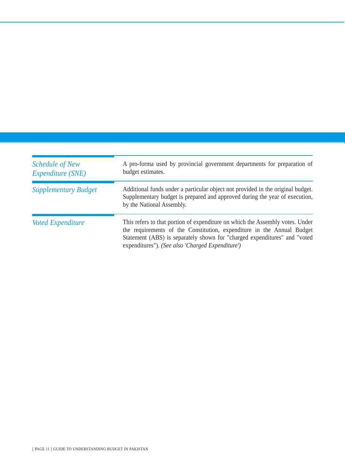| <b>Schedule of New</b><br><i>Expenditure (SNE)</i> | A pro-forma used by provincial government departments for preparation of<br>budget estimates.                                                                                                                                                                                            |  |
|----------------------------------------------------|------------------------------------------------------------------------------------------------------------------------------------------------------------------------------------------------------------------------------------------------------------------------------------------|--|
| <b>Supplementary Budget</b>                        | Additional funds under a particular object not provided in the original budget.<br>Supplementary budget is prepared and approved during the year of execution,<br>by the National Assembly.                                                                                              |  |
| <i>Voted Expenditure</i>                           | This refers to that portion of expenditure on which the Assembly votes. Under<br>the requirements of the Constitution, expenditure in the Annual Budget<br>Statement (ABS) is separately shown for "charged expenditures" and "voted<br>expenditures"). (See also 'Charged Expenditure') |  |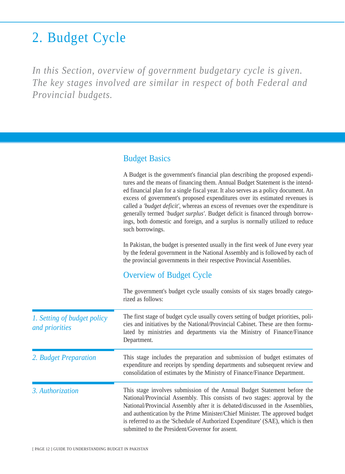## 2. Budget Cycle

*In this Section, overview of government budgetary cycle is given. The key stages involved are similar in respect of both Federal and Provincial budgets.* 

|  |  | <b>Budget Basics</b> |
|--|--|----------------------|
|  |  |                      |

|                                               | A Budget is the government's financial plan describing the proposed expendi-<br>tures and the means of financing them. Annual Budget Statement is the intend-<br>ed financial plan for a single fiscal year. It also serves as a policy document. An<br>excess of government's proposed expenditures over its estimated revenues is<br>called a 'budget deficit', whereas an excess of revenues over the expenditure is<br>generally termed 'budget surplus'. Budget deficit is financed through borrow-<br>ings, both domestic and foreign, and a surplus is normally utilized to reduce<br>such borrowings. |
|-----------------------------------------------|---------------------------------------------------------------------------------------------------------------------------------------------------------------------------------------------------------------------------------------------------------------------------------------------------------------------------------------------------------------------------------------------------------------------------------------------------------------------------------------------------------------------------------------------------------------------------------------------------------------|
|                                               | In Pakistan, the budget is presented usually in the first week of June every year<br>by the federal government in the National Assembly and is followed by each of<br>the provincial governments in their respective Provincial Assemblies.                                                                                                                                                                                                                                                                                                                                                                   |
|                                               | <b>Overview of Budget Cycle</b>                                                                                                                                                                                                                                                                                                                                                                                                                                                                                                                                                                               |
|                                               | The government's budget cycle usually consists of six stages broadly catego-<br>rized as follows:                                                                                                                                                                                                                                                                                                                                                                                                                                                                                                             |
| 1. Setting of budget policy<br>and priorities | The first stage of budget cycle usually covers setting of budget priorities, poli-<br>cies and initiatives by the National/Provincial Cabinet. These are then formu-<br>lated by ministries and departments via the Ministry of Finance/Finance<br>Department.                                                                                                                                                                                                                                                                                                                                                |
| 2. Budget Preparation                         | This stage includes the preparation and submission of budget estimates of<br>expenditure and receipts by spending departments and subsequent review and<br>consolidation of estimates by the Ministry of Finance/Finance Department.                                                                                                                                                                                                                                                                                                                                                                          |
| 3. Authorization                              | This stage involves submission of the Annual Budget Statement before the<br>National/Provincial Assembly. This consists of two stages: approval by the<br>National/Provincial Assembly after it is debated/discussed in the Assemblies,<br>and authentication by the Prime Minister/Chief Minister. The approved budget<br>is referred to as the 'Schedule of Authorized Expenditure' (SAE), which is then<br>submitted to the President/Governor for assent.                                                                                                                                                 |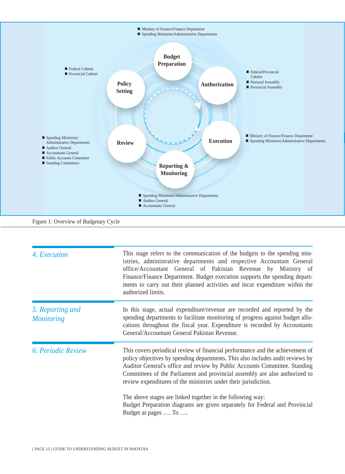

Figure 1: Overview of Budgetary Cycle

| 4. Execution                          | This stage refers to the communication of the budgets to the spending min-<br>istries, administrative departments and respective Accountant General<br>office/Accountant General of Pakistan Revenue by Ministry of<br>Finance/Finance Department. Budget execution supports the spending depart-<br>ments to carry out their planned activities and incur expenditure within the<br>authorized limits. |
|---------------------------------------|---------------------------------------------------------------------------------------------------------------------------------------------------------------------------------------------------------------------------------------------------------------------------------------------------------------------------------------------------------------------------------------------------------|
| 5. Reporting and<br><i>Monitoring</i> | In this stage, actual expenditure/revenue are recorded and reported by the<br>spending departments to facilitate monitoring of progress against budget allo-<br>cations throughout the fiscal year. Expenditure is recorded by Accountants<br>General/Accountant General Pakistan Revenue.                                                                                                              |
| 6. Periodic Review                    | This covers periodical review of financial performance and the achievement of<br>policy objectives by spending departments. This also includes audit reviews by<br>Auditor General's office and review by Public Accounts Committee. Standing<br>Committees of the Parliament and provincial assembly are also authorized to<br>review expenditures of the ministries under their jurisdiction.         |
|                                       | The above stages are linked together in the following way:<br>Budget Preparation diagrams are given separately for Federal and Provincial<br>Budget at pages  To                                                                                                                                                                                                                                        |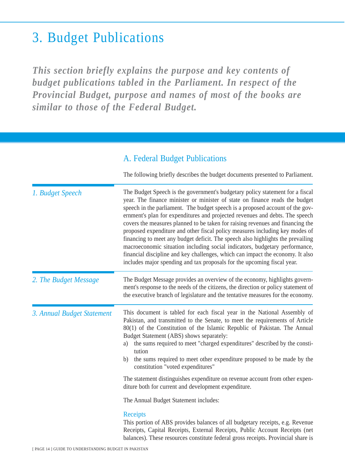## 3. Budget Publications

*This section briefly explains the purpose and key contents of budget publications tabled in the Parliament. In respect of the Provincial Budget, purpose and names of most of the books are similar to those of the Federal Budget.*

### A. Federal Budget Publications

The following briefly describes the budget documents presented to Parliament.

| 1. Budget Speech           | The Budget Speech is the government's budgetary policy statement for a fiscal<br>year. The finance minister or minister of state on finance reads the budget<br>speech in the parliament. The budget speech is a proposed account of the gov-<br>ernment's plan for expenditures and projected revenues and debts. The speech<br>covers the measures planned to be taken for raising revenues and financing the<br>proposed expenditure and other fiscal policy measures including key modes of<br>financing to meet any budget deficit. The speech also highlights the prevailing<br>macroeconomic situation including social indicators, budgetary performance,<br>financial discipline and key challenges, which can impact the economy. It also<br>includes major spending and tax proposals for the upcoming fiscal year. |
|----------------------------|--------------------------------------------------------------------------------------------------------------------------------------------------------------------------------------------------------------------------------------------------------------------------------------------------------------------------------------------------------------------------------------------------------------------------------------------------------------------------------------------------------------------------------------------------------------------------------------------------------------------------------------------------------------------------------------------------------------------------------------------------------------------------------------------------------------------------------|
| 2. The Budget Message      | The Budget Message provides an overview of the economy, highlights govern-<br>ment's response to the needs of the citizens, the direction or policy statement of<br>the executive branch of legislature and the tentative measures for the economy.                                                                                                                                                                                                                                                                                                                                                                                                                                                                                                                                                                            |
| 3. Annual Budget Statement | This document is tabled for each fiscal year in the National Assembly of<br>Pakistan, and transmitted to the Senate, to meet the requirements of Article<br>80(1) of the Constitution of the Islamic Republic of Pakistan. The Annual<br>Budget Statement (ABS) shows separately:<br>the sums required to meet "charged expenditures" described by the consti-<br>a)<br>tution<br>the sums required to meet other expenditure proposed to be made by the<br>b)<br>constitution "voted expenditures"                                                                                                                                                                                                                                                                                                                            |
|                            | The statement distinguishes expenditure on revenue account from other expen-<br>diture both for current and development expenditure.                                                                                                                                                                                                                                                                                                                                                                                                                                                                                                                                                                                                                                                                                           |
|                            | The Annual Budget Statement includes:                                                                                                                                                                                                                                                                                                                                                                                                                                                                                                                                                                                                                                                                                                                                                                                          |
|                            | <b>Receipts</b><br>This portion of ABS provides balances of all budgetary receipts, e.g. Revenue<br>Receipts, Capital Receipts, External Receipts, Public Account Receipts (net<br>balances). These resources constitute federal gross receipts. Provincial share is                                                                                                                                                                                                                                                                                                                                                                                                                                                                                                                                                           |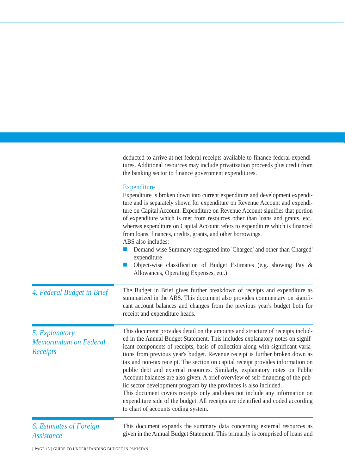deducted to arrive at net federal receipts available to finance federal expenditures. Additional resources may include privatization proceeds plus credit from the banking sector to finance government expenditures.

#### Expenditure

Expenditure is broken down into current expenditure and development expenditure and is separately shown for expenditure on Revenue Account and expenditure on Capital Account. Expenditure on Revenue Account signifies that portion of expenditure which is met from resources other than loans and grants, etc., whereas expenditure on Capital Account refers to expenditure which is financed from loans, finances, credits, grants, and other borrowings. ABS also includes: Demand-wise Summary segregated into 'Charged' and other than Charged' expenditure Object-wise classification of Budget Estimates (e.g. showing Pay & Allowances, Operating Expenses, etc.) The Budget in Brief gives further breakdown of receipts and expenditure as summarized in the ABS. This document also provides commentary on significant account balances and changes from the previous year's budget both for receipt and expenditure heads. This document provides detail on the amounts and structure of receipts included in the Annual Budget Statement. This includes explanatory notes on significant components of receipts, basis of collection along with significant variations from previous year's budget. Revenue receipt is further broken down as tax and non-tax receipt. The section on capital receipt provides information on public debt and external resources. Similarly, explanatory notes on Public Account balances are also given. A brief overview of self-financing of the pub-*4. Federal Budget in Brief 5. Explanatory Memorandum on Federal*

> This document covers receipts only and does not include any information on expenditure side of the budget. All receipts are identified and coded according to chart of accounts coding system.

lic sector development program by the provinces is also included.

### *6. Estimates of Foreign Assistance*

*Receipts*

This document expands the summary data concerning external resources as given in the Annual Budget Statement. This primarily is comprised of loans and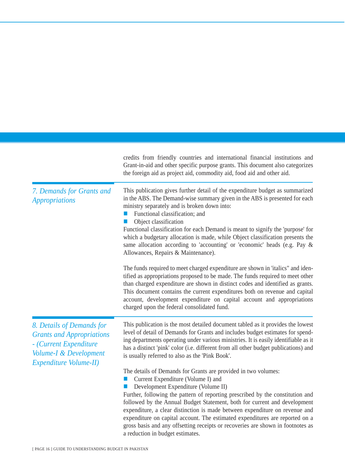|                                                                                                                                             | credits from friendly countries and international financial institutions and<br>Grant-in-aid and other specific purpose grants. This document also categorizes<br>the foreign aid as project aid, commodity aid, food aid and other aid.                                                                                                                                                                                                                                                                                                                        |
|---------------------------------------------------------------------------------------------------------------------------------------------|-----------------------------------------------------------------------------------------------------------------------------------------------------------------------------------------------------------------------------------------------------------------------------------------------------------------------------------------------------------------------------------------------------------------------------------------------------------------------------------------------------------------------------------------------------------------|
| 7. Demands for Grants and<br><b>Appropriations</b>                                                                                          | This publication gives further detail of the expenditure budget as summarized<br>in the ABS. The Demand-wise summary given in the ABS is presented for each<br>ministry separately and is broken down into:<br>Functional classification; and<br>Object classification<br>Functional classification for each Demand is meant to signify the 'purpose' for<br>which a budgetary allocation is made, while Object classification presents the<br>same allocation according to 'accounting' or 'economic' heads (e.g. Pay &<br>Allowances, Repairs & Maintenance). |
|                                                                                                                                             | The funds required to meet charged expenditure are shown in 'italics" and iden-<br>tified as appropriations proposed to be made. The funds required to meet other<br>than charged expenditure are shown in distinct codes and identified as grants.<br>This document contains the current expenditures both on revenue and capital<br>account, development expenditure on capital account and appropriations<br>charged upon the federal consolidated fund.                                                                                                     |
| 8. Details of Demands for<br><b>Grants and Appropriations</b><br>- (Current Expenditure<br>Volume-I & Development<br>Expenditure Volume-II) | This publication is the most detailed document tabled as it provides the lowest<br>level of detail of Demands for Grants and includes budget estimates for spend-<br>ing departments operating under various ministries. It is easily identifiable as it<br>has a distinct 'pink' color (i.e. different from all other budget publications) and<br>is usually referred to also as the 'Pink Book'.                                                                                                                                                              |
|                                                                                                                                             | The details of Demands for Grants are provided in two volumes:<br>Current Expenditure (Volume I) and<br>Development Expenditure (Volume II)<br>Further, following the pattern of reporting prescribed by the constitution and<br>followed by the Annual Budget Statement, both for current and development<br>expenditure, a clear distinction is made between expenditure on revenue and<br>expenditure on capital account. The estimated expenditures are reported on a<br>gross basis and any offsetting receipts or recoveries are shown in footnotes as    |

a reduction in budget estimates.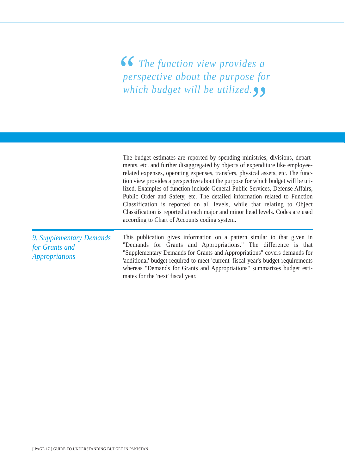*The function view provides a perspective about the purpose for which budget will be utilized. "* $\begin{array}{c} \begin{array}{c} \text{6} \\ \text{p} \end{array} \end{array}$ 

|                                                                     | The budget estimates are reported by spending ministries, divisions, depart-<br>ments, etc. and further disaggregated by objects of expenditure like employee-<br>related expenses, operating expenses, transfers, physical assets, etc. The func-<br>tion view provides a perspective about the purpose for which budget will be uti-<br>lized. Examples of function include General Public Services, Defense Affairs,<br>Public Order and Safety, etc. The detailed information related to Function<br>Classification is reported on all levels, while that relating to Object<br>Classification is reported at each major and minor head levels. Codes are used<br>according to Chart of Accounts coding system. |
|---------------------------------------------------------------------|---------------------------------------------------------------------------------------------------------------------------------------------------------------------------------------------------------------------------------------------------------------------------------------------------------------------------------------------------------------------------------------------------------------------------------------------------------------------------------------------------------------------------------------------------------------------------------------------------------------------------------------------------------------------------------------------------------------------|
| 9. Supplementary Demands<br>for Grants and<br><b>Appropriations</b> | This publication gives information on a pattern similar to that given in<br>"Demands for Grants and Appropriations." The difference is that<br>"Supplementary Demands for Grants and Appropriations" covers demands for<br>'additional' budget required to meet 'current' fiscal year's budget requirements<br>whereas "Demands for Grants and Appropriations" summarizes budget esti-<br>mates for the 'next' fiscal year.                                                                                                                                                                                                                                                                                         |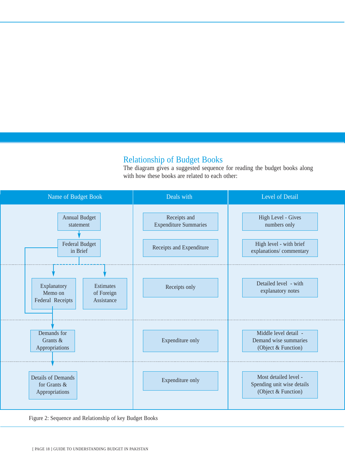### Relationship of Budget Books

The diagram gives a suggested sequence for reading the budget books along with how these books are related to each other:



Figure 2: Sequence and Relationship of key Budget Books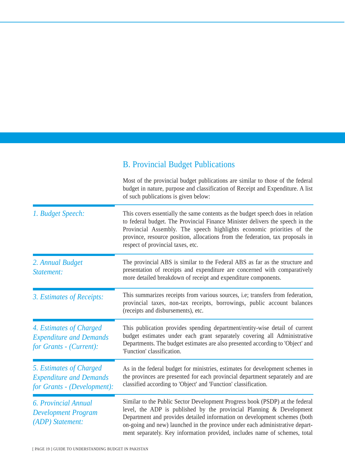## B. Provincial Budget Publications

|                                                                                          | Most of the provincial budget publications are similar to those of the federal<br>budget in nature, purpose and classification of Receipt and Expenditure. A list<br>of such publications is given below:                                                                                                                                                                                       |
|------------------------------------------------------------------------------------------|-------------------------------------------------------------------------------------------------------------------------------------------------------------------------------------------------------------------------------------------------------------------------------------------------------------------------------------------------------------------------------------------------|
| 1. Budget Speech:                                                                        | This covers essentially the same contents as the budget speech does in relation<br>to federal budget. The Provincial Finance Minister delivers the speech in the<br>Provincial Assembly. The speech highlights economic priorities of the<br>province, resource position, allocations from the federation, tax proposals in<br>respect of provincial taxes, etc.                                |
| 2. Annual Budget<br>Statement:                                                           | The provincial ABS is similar to the Federal ABS as far as the structure and<br>presentation of receipts and expenditure are concerned with comparatively<br>more detailed breakdown of receipt and expenditure components.                                                                                                                                                                     |
| 3. Estimates of Receipts:                                                                | This summarizes receipts from various sources, i.e; transfers from federation,<br>provincial taxes, non-tax receipts, borrowings, public account balances<br>(receipts and disbursements), etc.                                                                                                                                                                                                 |
| 4. Estimates of Charged<br><b>Expenditure and Demands</b><br>for Grants - (Current):     | This publication provides spending department/entity-wise detail of current<br>budget estimates under each grant separately covering all Administrative<br>Departments. The budget estimates are also presented according to 'Object' and<br>'Function' classification.                                                                                                                         |
| 5. Estimates of Charged<br><b>Expenditure and Demands</b><br>for Grants - (Development): | As in the federal budget for ministries, estimates for development schemes in<br>the provinces are presented for each provincial department separately and are<br>classified according to 'Object' and 'Function' classification.                                                                                                                                                               |
| 6. Provincial Annual<br><b>Development Program</b><br>(ADP) Statement:                   | Similar to the Public Sector Development Progress book (PSDP) at the federal<br>level, the ADP is published by the provincial Planning & Development<br>Department and provides detailed information on development schemes (both<br>on-going and new) launched in the province under each administrative depart-<br>ment separately. Key information provided, includes name of schemes, total |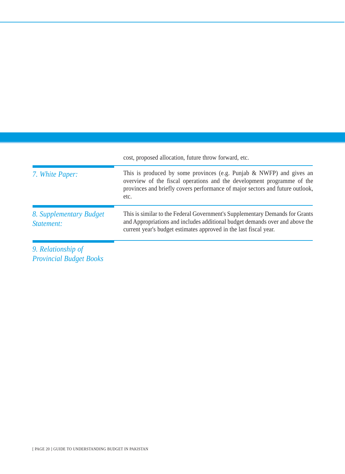|                                                       | cost, proposed allocation, future throw forward, etc.                                                                                                                                                                                     |  |
|-------------------------------------------------------|-------------------------------------------------------------------------------------------------------------------------------------------------------------------------------------------------------------------------------------------|--|
| 7. White Paper:                                       | This is produced by some provinces (e.g. Punjab $&$ NWFP) and gives an<br>overview of the fiscal operations and the development programme of the<br>provinces and briefly covers performance of major sectors and future outlook,<br>etc. |  |
| 8. Supplementary Budget<br>Statement:                 | This is similar to the Federal Government's Supplementary Demands for Grants<br>and Appropriations and includes additional budget demands over and above the<br>current year's budget estimates approved in the last fiscal year.         |  |
| $\Omega$ $\Omega$ $\Omega$ $\Omega$ $\Omega$ $\Omega$ |                                                                                                                                                                                                                                           |  |

*9. Relationship of Provincial Budget Books*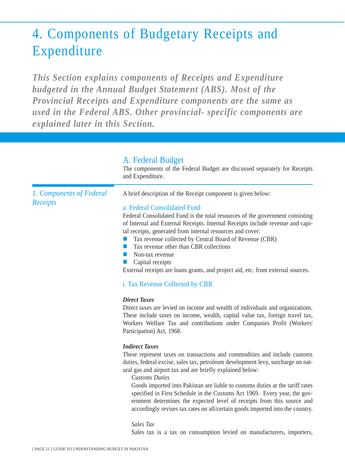## 4. Components of Budgetary Receipts and Expenditure

*This Section explains components of Receipts and Expenditure budgeted in the Annual Budget Statement (ABS). Most of the Provincial Receipts and Expenditure components are the same as used in the Federal ABS. Other provincial- specific components are explained later in this Section.* 

| A. Federal Budget                                                          |  |
|----------------------------------------------------------------------------|--|
| The components of the Federal Budget are discussed separately for Receipts |  |
| and Expenditure.                                                           |  |

|                                             | and Lapondrato.                                                                  |
|---------------------------------------------|----------------------------------------------------------------------------------|
| 1. Components of Federal<br><b>Receipts</b> | A brief description of the Receipt component is given below:                     |
|                                             | a. Federal Consolidated Fund                                                     |
|                                             | Federal Consolidated Fund is the total resources of the government consisting    |
|                                             | of Internal and External Receipts. Internal Receipts include revenue and capi-   |
|                                             | tal receipts, generated from internal resources and cover:                       |
|                                             | Tax revenue collected by Central Board of Revenue (CBR)                          |
|                                             | Tax revenue other than CBR collections                                           |
|                                             | Non-tax revenue                                                                  |
|                                             | Capital receipts                                                                 |
|                                             | External receipts are loans grants, and project aid, etc. from external sources. |
|                                             |                                                                                  |
|                                             | i. Tax Revenue Collected by CBR                                                  |
|                                             | <b>Direct Taxes</b>                                                              |
|                                             | Direct taxes are levied on income and wealth of individuals and organizations.   |
|                                             | These include taxes on income, wealth, capital value tax, foreign travel tax,    |
|                                             | Workers Welfare Tax and contributions under Companies Profit (Workers'           |
|                                             | Participation) Act, 1968.                                                        |
|                                             | <b>Indirect Taxes</b>                                                            |
|                                             | These represent taxes on transactions and commodities and include customs        |
|                                             | duties, federal excise, sales tax, petroleum development levy, surcharge on nat- |
|                                             | ural gas and airport tax and are briefly explained below:                        |
|                                             | <b>Customs Duties</b>                                                            |
|                                             | Goods imported into Pakistan are liable to customs duties at the tariff rates    |
|                                             | specified in First Schedule in the Customs Act 1969. Every year, the gov-        |
|                                             | ernment determines the expected level of receipts from this source and           |
|                                             | accordingly revises tax rates on all/certain goods imported into the country.    |
|                                             | Sales Tax                                                                        |
|                                             |                                                                                  |

Sales tax is a tax on consumption levied on manufacturers, importers,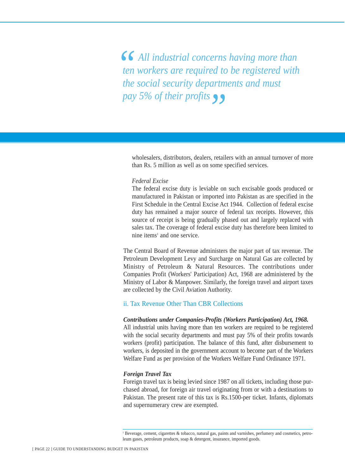**46 All industrial concerns having more than ten workers are required to be registered with the social sequrity denominants and must** *ten workers are required to be registered with the social security departments and must*  pay 5% of their profits **9 9** 

wholesalers, distributors, dealers, retailers with an annual turnover of more than Rs. 5 million as well as on some specified services.

#### *Federal Excise*

The federal excise duty is leviable on such excisable goods produced or manufactured in Pakistan or imported into Pakistan as are specified in the First Schedule in the Central Excise Act 1944. Collection of federal excise duty has remained a major source of federal tax receipts. However, this source of receipt is being gradually phased out and largely replaced with sales tax. The coverage of federal excise duty has therefore been limited to nine items<sup>1</sup> and one service.

The Central Board of Revenue administers the major part of tax revenue. The Petroleum Development Levy and Surcharge on Natural Gas are collected by Ministry of Petroleum & Natural Resources. The contributions under Companies Profit (Workers' Participation) Act, 1968 are administered by the Ministry of Labor & Manpower. Similarly, the foreign travel and airport taxes are collected by the Civil Aviation Authority.

#### ii. Tax Revenue Other Than CBR Collections

#### *Contributions under Companies-Profits (Workers Participation) Act, 1968.*

All industrial units having more than ten workers are required to be registered with the social security departments and must pay 5% of their profits towards workers (profit) participation. The balance of this fund, after disbursement to workers, is deposited in the government account to become part of the Workers Welfare Fund as per provision of the Workers Welfare Fund Ordinance 1971.

#### *Foreign Travel Tax*

Foreign travel tax is being levied since 1987 on all tickets, including those purchased abroad, for foreign air travel originating from or with a destinations to Pakistan. The present rate of this tax is Rs.1500-per ticket. Infants, diplomats and supernumerary crew are exempted.

<sup>&</sup>lt;sup>1</sup> Beverage, cement, cigarettes & tobacco, natural gas, paints and varnishes, perfumery and cosmetics, petroleum gases, petroleum products, soap & detergent, insurance, imported goods.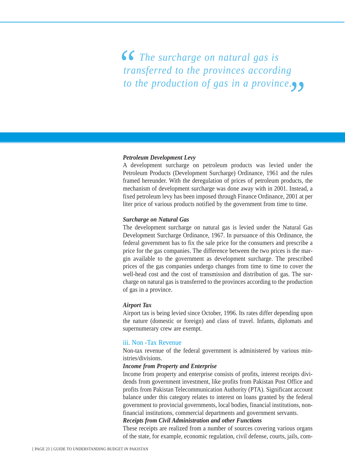**66** The surcharge on natural gas is<br>transferred to the provinces accord *transferred to the provinces according to the production of gas in a province.* 

#### *Petroleum Development Levy*

A development surcharge on petroleum products was levied under the Petroleum Products (Development Surcharge) Ordinance, 1961 and the rules framed hereunder. With the deregulation of prices of petroleum products, the mechanism of development surcharge was done away with in 2001. Instead, a fixed petroleum levy has been imposed through Finance Ordinance, 2001 at per liter price of various products notified by the government from time to time.

#### *Surcharge on Natural Gas*

The development surcharge on natural gas is levied under the Natural Gas Development Surcharge Ordinance, 1967. In pursuance of this Ordinance, the federal government has to fix the sale price for the consumers and prescribe a price for the gas companies. The difference between the two prices is the margin available to the government as development surcharge. The prescribed prices of the gas companies undergo changes from time to time to cover the well-head cost and the cost of transmission and distribution of gas. The surcharge on natural gas is transferred to the provinces according to the production of gas in a province.

#### *Airport Tax*

Airport tax is being levied since October, 1996. Its rates differ depending upon the nature (domestic or foreign) and class of travel. Infants, diplomats and supernumerary crew are exempt.

#### iii. Non -Tax Revenue

Non-tax revenue of the federal government is administered by various ministries/divisions.

#### *Income from Property and Enterprise*

Income from property and enterprise consists of profits, interest receipts dividends from government investment, like profits from Pakistan Post Office and profits from Pakistan Telecommunication Authority (PTA). Significant account balance under this category relates to interest on loans granted by the federal government to provincial governments, local bodies, financial institutions, nonfinancial institutions, commercial departments and government servants.

#### *Receipts from Civil Administration and other Functions*

These receipts are realized from a number of sources covering various organs of the state, for example, economic regulation, civil defense, courts, jails, com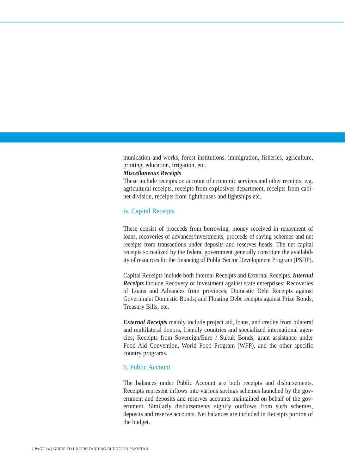munication and works, forest institutions, immigration, fisheries, agriculture, printing, education, irrigation, etc.

#### *Miscellaneous Receipts*

These include receipts on account of economic services and other receipts, e.g. agricultural receipts, receipts from explosives department, receipts from cabinet division, receipts from lighthouses and lightships etc.

#### iv. Capital Receipts

These consist of proceeds from borrowing, money received in repayment of loans, recoveries of advances/investments, proceeds of saving schemes and net receipts from transactions under deposits and reserves heads. The net capital receipts so realized by the federal government generally constitute the availability of resources for the financing of Public Sector Development Program (PSDP).

Capital Receipts include both Internal Receipts and External Receipts. *Internal Receipts* include Recovery of Investment against state enterprises; Recoveries of Loans and Advances from provinces; Domestic Debt Receipts against Government Domestic Bonds; and Floating Debt receipts against Prize Bonds, Treasury Bills, etc.

*External Receipts* mainly include project aid, loans, and credits from bilateral and multilateral donors, friendly countries and specialized international agencies; Receipts from Sovereign/Euro / Sukuk Bonds, grant assistance under Food Aid Convention, World Food Program (WFP), and the other specific country programs.

#### b. Public Account

The balances under Public Account are both receipts and disbursements. Receipts represent inflows into various savings schemes launched by the government and deposits and reserves accounts maintained on behalf of the government. Similarly disbursements signify outflows from such schemes, deposits and reserve accounts. Net balances are included in Receipts portion of the budget.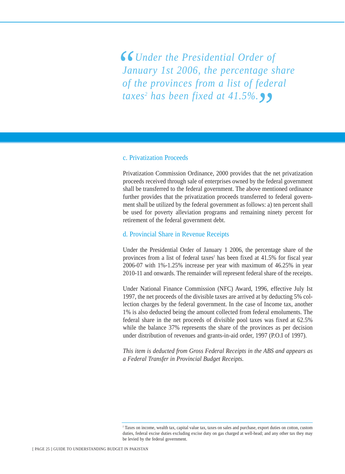**66** Under the Presidential Order of<br>
January 1st 2006, the percentage s *January 1st 2006, the percentage share of the provinces from a list of federal taxes<sup>2</sup> has been fixed at 41.5%.*  $\bullet$   $\bullet$ 

#### c. Privatization Proceeds

Privatization Commission Ordinance, 2000 provides that the net privatization proceeds received through sale of enterprises owned by the federal government shall be transferred to the federal government. The above mentioned ordinance further provides that the privatization proceeds transferred to federal government shall be utilized by the federal government as follows: a) ten percent shall be used for poverty alleviation programs and remaining ninety percent for retirement of the federal government debt.

#### d. Provincial Share in Revenue Receipts

Under the Presidential Order of January 1 2006, the percentage share of the provinces from a list of federal taxes<sup>2</sup> has been fixed at 41.5% for fiscal year 2006-07 with 1%-1.25% increase per year with maximum of 46.25% in year 2010-11 and onwards. The remainder will represent federal share of the receipts.

Under National Finance Commission (NFC) Award, 1996, effective July Ist 1997, the net proceeds of the divisible taxes are arrived at by deducting 5% collection charges by the federal government. In the case of Income tax, another 1% is also deducted being the amount collected from federal emoluments. The federal share in the net proceeds of divisible pool taxes was fixed at 62.5% while the balance 37% represents the share of the provinces as per decision under distribution of revenues and grants-in-aid order, 1997 (P.O.I of 1997).

*This item is deducted from Gross Federal Receipts in the ABS and appears as a Federal Transfer in Provincial Budget Receipts.* 

<sup>2</sup> Taxes on income, wealth tax, capital value tax, taxes on sales and purchase, export duties on cotton, custom duties, federal excise duties excluding excise duty on gas charged at well-head; and any other tax they may be levied by the federal government.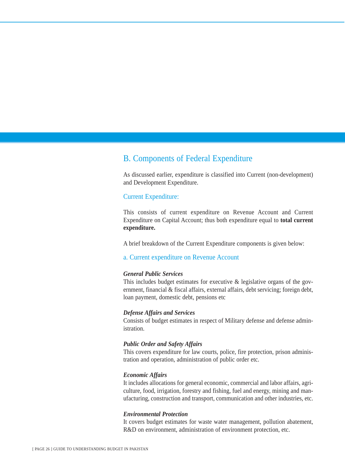### B. Components of Federal Expenditure

As discussed earlier, expenditure is classified into Current (non-development) and Development Expenditure.

#### Current Expenditure:

This consists of current expenditure on Revenue Account and Current Expenditure on Capital Account; thus both expenditure equal to **total current expenditure.** 

A brief breakdown of the Current Expenditure components is given below:

#### a. Current expenditure on Revenue Account

#### *General Public Services*

This includes budget estimates for executive & legislative organs of the government, financial & fiscal affairs, external affairs, debt servicing; foreign debt, loan payment, domestic debt, pensions etc

#### *Defense Affairs and Services*

Consists of budget estimates in respect of Military defense and defense administration.

#### *Public Order and Safety Affairs*

This covers expenditure for law courts, police, fire protection, prison administration and operation, administration of public order etc.

#### *Economic Affairs*

It includes allocations for general economic, commercial and labor affairs, agriculture, food, irrigation, forestry and fishing, fuel and energy, mining and manufacturing, construction and transport, communication and other industries, etc.

#### *Environmental Protection*

It covers budget estimates for waste water management, pollution abatement, R&D on environment, administration of environment protection, etc.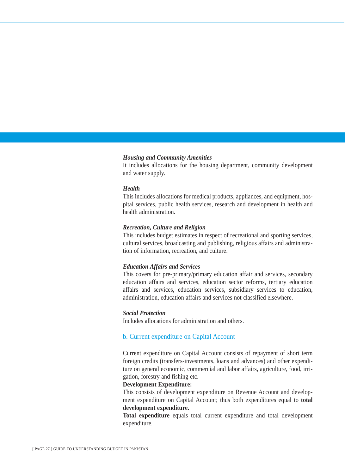#### *Housing and Community Amenities*

It includes allocations for the housing department, community development and water supply.

#### *Health*

This includes allocations for medical products, appliances, and equipment, hospital services, public health services, research and development in health and health administration.

#### *Recreation, Culture and Religion*

This includes budget estimates in respect of recreational and sporting services, cultural services, broadcasting and publishing, religious affairs and administration of information, recreation, and culture.

#### *Education Affairs and Services*

This covers for pre-primary/primary education affair and services, secondary education affairs and services, education sector reforms, tertiary education affairs and services, education services, subsidiary services to education, administration, education affairs and services not classified elsewhere.

#### *Social Protection*

Includes allocations for administration and others.

#### b. Current expenditure on Capital Account

Current expenditure on Capital Account consists of repayment of short term foreign credits (transfers-investments, loans and advances) and other expenditure on general economic, commercial and labor affairs, agriculture, food, irrigation, forestry and fishing etc.

#### **Development Expenditure:**

This consists of development expenditure on Revenue Account and development expenditure on Capital Account; thus both expenditures equal to **total development expenditure.**

**Total expenditure** equals total current expenditure and total development expenditure.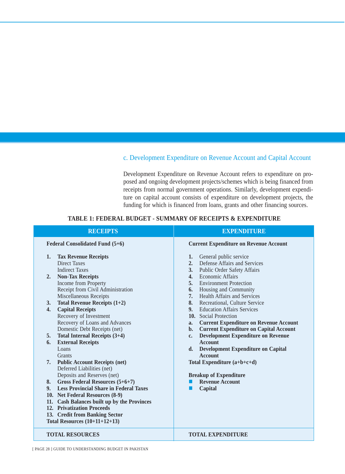### c. Development Expenditure on Revenue Account and Capital Account

Development Expenditure on Revenue Account refers to expenditure on proposed and ongoing development projects/schemes which is being financed from receipts from normal government operations. Similarly, development expenditure on capital account consists of expenditure on development projects, the funding for which is financed from loans, grants and other financing sources.

| <b>RECEIPTS</b>                                                                                                                                                                                                                                                                                                                                                                                                                                                                                                                                                                                                                                                                                                                                                                                                                                                             | <b>EXPENDITURE</b>                                                                                                                                                                                                                                                                                                                                                                                                                                                                                                                                                                                                                                                                                                                                                                                   |
|-----------------------------------------------------------------------------------------------------------------------------------------------------------------------------------------------------------------------------------------------------------------------------------------------------------------------------------------------------------------------------------------------------------------------------------------------------------------------------------------------------------------------------------------------------------------------------------------------------------------------------------------------------------------------------------------------------------------------------------------------------------------------------------------------------------------------------------------------------------------------------|------------------------------------------------------------------------------------------------------------------------------------------------------------------------------------------------------------------------------------------------------------------------------------------------------------------------------------------------------------------------------------------------------------------------------------------------------------------------------------------------------------------------------------------------------------------------------------------------------------------------------------------------------------------------------------------------------------------------------------------------------------------------------------------------------|
| Federal Consolidated Fund (5+6)                                                                                                                                                                                                                                                                                                                                                                                                                                                                                                                                                                                                                                                                                                                                                                                                                                             | <b>Current Expenditure on Revenue Account</b>                                                                                                                                                                                                                                                                                                                                                                                                                                                                                                                                                                                                                                                                                                                                                        |
| <b>Tax Revenue Receipts</b><br>1.<br><b>Direct Taxes</b><br><b>Indirect Taxes</b><br><b>Non-Tax Receipts</b><br>2.<br>Income from Property<br>Receipt from Civil Administration<br>Miscellaneous Receipts<br>Total Revenue Receipts $(1+2)$<br>3.<br>$\overline{4}$ .<br><b>Capital Receipts</b><br>Recovery of Investment<br>Recovery of Loans and Advances<br>Domestic Debt Receipts (net)<br>Total Internal Receipts (3+4)<br>5.<br><b>External Receipts</b><br>6.<br>Loans<br>Grants<br>7. Public Account Receipts (net)<br>Deferred Liabilities (net)<br>Deposits and Reserves (net)<br>Gross Federal Resources (5+6+7)<br>8.<br>9. Less Provincial Share in Federal Taxes<br>10. Net Federal Resources (8-9)<br>11. Cash Balances built up by the Provinces<br><b>12. Privatization Proceeds</b><br>13. Credit from Banking Sector<br>Total Resources $(10+11+12+13)$ | 1.<br>General public service<br>Defense Affairs and Services<br>2.<br>3.<br>Public Order Safety Affairs<br><b>Economic Affairs</b><br>$\mathbf{4}$<br>5 <sub>1</sub><br><b>Environment Protection</b><br>Housing and Community<br>6.<br><b>Health Affairs and Services</b><br>7.<br>8.<br>Recreational, Culture Service<br><b>Education Affairs Services</b><br>9 <sub>1</sub><br>10. Social Protection<br><b>Current Expenditure on Revenue Account</b><br>$a_{\cdot}$<br><b>Current Expenditure on Capital Account</b><br>$\mathbf{b}$ .<br><b>Development Expenditure on Revenue</b><br>$c_{\bullet}$<br><b>Account</b><br><b>Development Expenditure on Capital</b><br>d.<br><b>Account</b><br>Total Expenditure (a+b+c+d)<br><b>Breakup of Expenditure</b><br><b>Revenue Account</b><br>Capital |
| <b>TOTAL RESOURCES</b>                                                                                                                                                                                                                                                                                                                                                                                                                                                                                                                                                                                                                                                                                                                                                                                                                                                      | <b>TOTAL EXPENDITURE</b>                                                                                                                                                                                                                                                                                                                                                                                                                                                                                                                                                                                                                                                                                                                                                                             |

#### **TABLE 1: FEDERAL BUDGET - SUMMARY OF RECEIPTS & EXPENDITURE**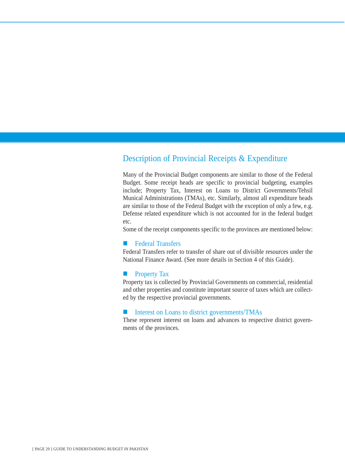### Description of Provincial Receipts & Expenditure

Many of the Provincial Budget components are similar to those of the Federal Budget. Some receipt heads are specific to provincial budgeting, examples include; Property Tax, Interest on Loans to District Governments/Tehsil Munical Administrations (TMAs), etc. Similarly, almost all expenditure heads are similar to those of the Federal Budget with the exception of only a few, e.g. Defense related expenditure which is not accounted for in the federal budget etc.

Some of the receipt components specific to the provinces are mentioned below:

#### **Federal Transfers**

Federal Transfers refer to transfer of share out of divisible resources under the National Finance Award. (See more details in Section 4 of this Guide).

#### **Property Tax**

Property tax is collected by Provincial Governments on commercial, residential and other properties and constitute important source of taxes which are collected by the respective provincial governments.

#### ■ Interest on Loans to district governments/TMAs

These represent interest on loans and advances to respective district governments of the provinces.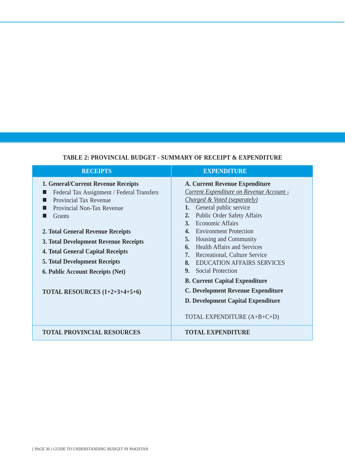#### **TABLE 2: PROVINCIAL BUDGET - SUMMARY OF RECEIPT & EXPENDITURE**

| <b>RECEIPTS</b>                                                                                                                                                                                                                                                                                                                                                                                     | <b>EXPENDITURE</b>                                                                                                                                                                                                                                                                                                                                                                                                                                                                                                                                                                             |
|-----------------------------------------------------------------------------------------------------------------------------------------------------------------------------------------------------------------------------------------------------------------------------------------------------------------------------------------------------------------------------------------------------|------------------------------------------------------------------------------------------------------------------------------------------------------------------------------------------------------------------------------------------------------------------------------------------------------------------------------------------------------------------------------------------------------------------------------------------------------------------------------------------------------------------------------------------------------------------------------------------------|
| 1. General/Current Revenue Receipts<br>Federal Tax Assignment / Federal Transfers<br>Provincial Tax Revenue<br>Provincial Non-Tax Revenue<br>Grants<br>2. Total General Revenue Receipts<br>3. Total Development Revenue Receipts<br><b>4. Total General Capital Receipts</b><br><b>5. Total Development Receipts</b><br><b>6. Public Account Receipts (Net)</b><br>TOTAL RESOURCES $(1+2+3+4+5+6)$ | A. Current Revenue Expenditure<br>Current Expenditure on Revenue Account -<br>Charged & Voted (separately)<br>General public service<br><b>Public Order Safety Affairs</b><br>2.<br>Economic Affairs<br>3.<br><b>Environment Protection</b><br>4.<br>Housing and Community<br>5.<br><b>Health Affairs and Services</b><br>6.<br>7. Recreational, Culture Service<br><b>EDUCATION AFFAIRS SERVICES</b><br>8.<br><b>9.</b> Social Protection<br><b>B. Current Capital Expenditure</b><br>C. Development Revenue Expenditure<br>D. Development Capital Expenditure<br>TOTAL EXPENDITURE (A+B+C+D) |
| <b>TOTAL PROVINCIAL RESOURCES</b>                                                                                                                                                                                                                                                                                                                                                                   | <b>TOTAL EXPENDITURE</b>                                                                                                                                                                                                                                                                                                                                                                                                                                                                                                                                                                       |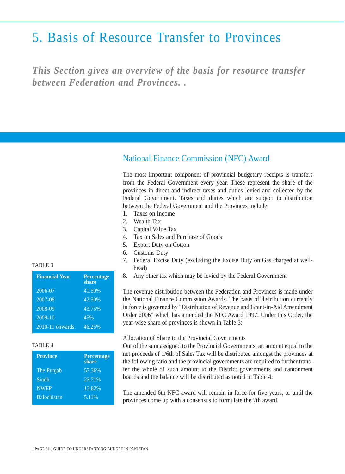## 5. Basis of Resource Transfer to Provinces

*This Section gives an overview of the basis for resource transfer between Federation and Provinces. .* 

### National Finance Commission (NFC) Award

The most important component of provincial budgetary receipts is transfers from the Federal Government every year. These represent the share of the provinces in direct and indirect taxes and duties levied and collected by the Federal Government. Taxes and duties which are subject to distribution between the Federal Government and the Provinces include:

- 1. Taxes on Income
- 2. Wealth Tax
- 3. Capital Value Tax
- 4. Tax on Sales and Purchase of Goods
- 5. Export Duty on Cotton
- 6. Customs Duty
- 7. Federal Excise Duty (excluding the Excise Duty on Gas charged at wellhead)
- 8. Any other tax which may be levied by the Federal Government

The revenue distribution between the Federation and Provinces is made under the National Finance Commission Awards. The basis of distribution currently in force is governed by "Distribution of Revenue and Grant-in-Aid Amendment Order 2006" which has amended the NFC Award 1997. Under this Order, the year-wise share of provinces is shown in Table 3:

#### Allocation of Share to the Provincial Governments

Out of the sum assigned to the Provincial Governments, an amount equal to the net proceeds of 1/6th of Sales Tax will be distributed amongst the provinces at the following ratio and the provincial governments are required to further transfer the whole of such amount to the District governments and cantonment boards and the balance will be distributed as noted in Table 4:

The amended 6th NFC award will remain in force for five years, or until the provinces come up with a consensus to formulate the 7th award.

#### TABLE 3

| <b>Financial Year</b> | Percentage<br>share |
|-----------------------|---------------------|
| $2006 - 07$           | 41.50%              |
| 2007-08               | 42.50%              |
| 2008-09               | 43.75%              |
| 2009-10               | 45%                 |
| $2010 - 11$ onwards   | 46.25%              |

#### TABLE 4

| <b>Province</b>    | <b>Percentage</b><br>share |
|--------------------|----------------------------|
| The Punjab         | 57.36%                     |
| Sindh              | 23.71%                     |
| <b>NWFP</b>        | 13.82%                     |
| <b>Balochistan</b> | 5.11%                      |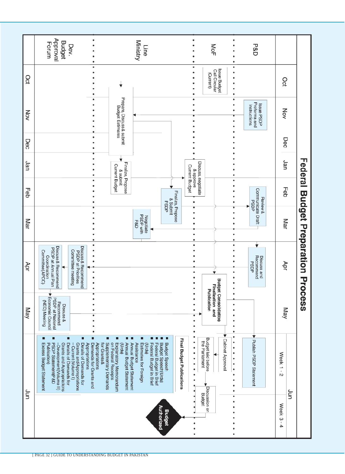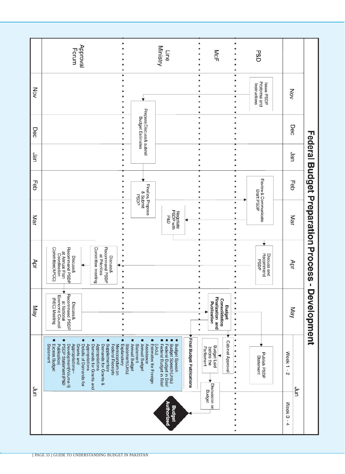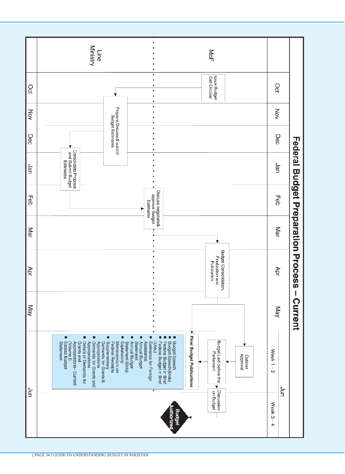![](_page_36_Figure_0.jpeg)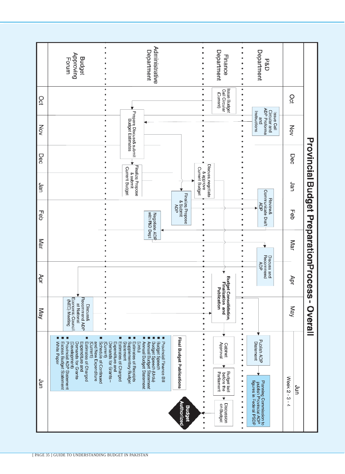![](_page_37_Figure_0.jpeg)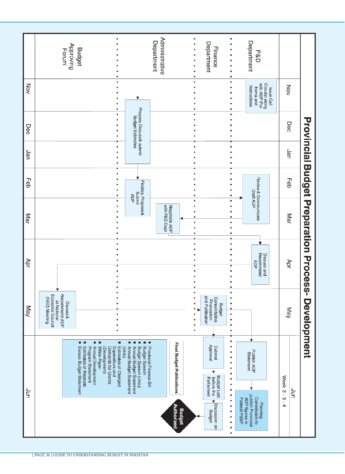|     | Approving<br><b>Budget</b><br>Forum                                                                                                                                  |                                                                                                                               | Administrative<br>Department                                                        | ۰<br>۰<br>Department<br>$\bullet$<br>Finance<br>$\bullet$<br>٠<br>۰<br>$\bullet$<br>$\bullet$<br>۰                                                                                                                                                           | Department<br><b>P&amp;D</b>                                                                                         |                      |                                               |
|-----|----------------------------------------------------------------------------------------------------------------------------------------------------------------------|-------------------------------------------------------------------------------------------------------------------------------|-------------------------------------------------------------------------------------|--------------------------------------------------------------------------------------------------------------------------------------------------------------------------------------------------------------------------------------------------------------|----------------------------------------------------------------------------------------------------------------------|----------------------|-----------------------------------------------|
| Nov | ۰                                                                                                                                                                    | $\bullet$<br>▼                                                                                                                |                                                                                     | $\bullet$<br>$\bullet$                                                                                                                                                                                                                                       | Issue Call<br>Circular along<br>with ADP Pro<br>Instructions<br>forma and                                            | Nov                  |                                               |
| Dec | ė                                                                                                                                                                    | Prepare, Discuss& submit<br>Budget Estimates                                                                                  |                                                                                     |                                                                                                                                                                                                                                                              |                                                                                                                      | Dec                  |                                               |
| Jan |                                                                                                                                                                      |                                                                                                                               |                                                                                     |                                                                                                                                                                                                                                                              |                                                                                                                      | Jan                  |                                               |
| 공   |                                                                                                                                                                      | Finalize, Propose &<br>Submit<br>$\overline{d}$                                                                               |                                                                                     | $\bullet$                                                                                                                                                                                                                                                    |                                                                                                                      | 공                    |                                               |
| Mar |                                                                                                                                                                      |                                                                                                                               | with P&D Dept<br>Negotiate ADP                                                      |                                                                                                                                                                                                                                                              | Review & Communicate<br>Draft ADP                                                                                    | Mar                  |                                               |
| Apr |                                                                                                                                                                      |                                                                                                                               |                                                                                     |                                                                                                                                                                                                                                                              | Discuss and<br>Recommend<br>ADP                                                                                      | Apr                  | <b>Provincial Budget Preparation Process-</b> |
| May | Economic Council<br>Recommend ADP<br>(NEC) Meeting<br>at National<br>Discuss&                                                                                        |                                                                                                                               |                                                                                     | and Publication<br>Consolidation<br>Finalization<br>۰<br><b>Budget</b><br>۰<br>$\bullet$<br>$\bullet$<br>$\bullet$<br>۰<br>٠                                                                                                                                 |                                                                                                                      | KeM                  | Development                                   |
| ηr  | Excess Budget Statement<br>White Paper<br>Estimates of Receipts<br>Annual Development<br>(Development)<br>Expenditure and<br>Demands for Grants<br>Program Statement | Estimates of Charged<br>Annual Budget Statement<br>(npur)<br>Annual Budget Statement<br>Budget Speech<br>Budget Speech (Urdu) | Final Budget Publications<br>Provincial Finance Bill<br>Authorized<br><b>Budget</b> | ۰<br>Approval<br>$\bullet$<br>Cabinet<br>۰<br>$\bullet$<br>٠<br>÷<br>$\bullet$<br><b>Budget Laid</b><br>before the<br>Parliament<br>۰<br>۰<br>$\bullet$<br>$\bullet$<br>Discussion on<br>٠<br><b>Budget</b><br>$\bullet$<br>۰<br>$\bullet$<br>$\bullet$<br>۰ | <b>Publish ADP</b><br>Statement<br>publish Provincial<br>Commission to<br>ADP figures in<br>Federal PSDP<br>Planning | Week 2-3-<br>ηr<br>4 |                                               |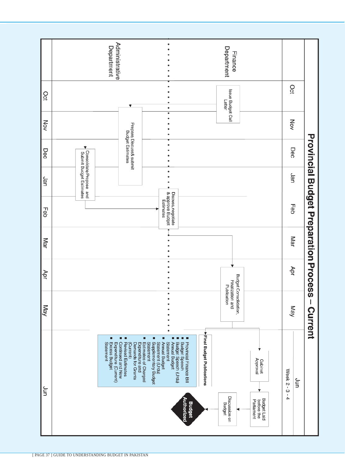![](_page_39_Figure_0.jpeg)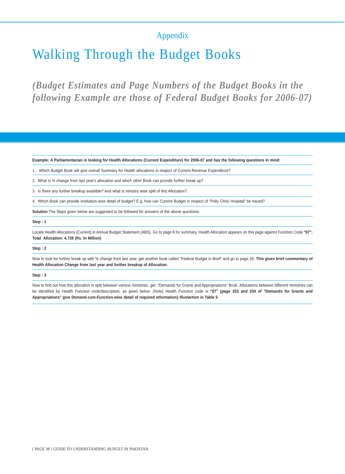### Appendix

## Walking Through the Budget Books

*(Budget Estimates and Page Numbers of the Budget Books in the following Example are those of Federal Budget Books for 2006-07)*

**Example: A Parliamentarian is looking for Health Allocations (Current Expenditure) for 2006-07 and has the following questions in mind:** 

1. Which Budget Book will give overall Summary for Health allocations in respect of Current Revenue Expenditure?

2. What is % change from last year's allocation and which other Book can provide further break up?

3. Is there any further breakup available? And what is ministry wise split of this Allocation?

4. Which Book can provide institution-wise detail of budget? E.g. how can Current Budget in respect of "Poliy Clinic Hospital" be traced?

**Solution** The Steps given below are suggested to be followed for answers of the above questions:

#### **Step : 1**

Locate Health Allocations (Current) in Annual Budget Statement (ABS). Go to page 8 for summary. Health Allocation appears on this page against Function Code **"07". Total Allocation: 4,728 (Rs. In Million)**

#### **Step : 2**

Now to look for further break up with % change from last year, get another book called "Federal Budget in Brief" and go to page 26. **This gives brief commentary of Health Allocation Change from last year and further breakup of Allocation.** 

#### **Step : 3**

Now to find out how this allocation is split between various ministries, get "Demands for Grants and Appropriations" Book. Allocations between different ministries can be identified by Health Function code/description, as given below: (Note) Health Function code is **"07" {page 333 and 334 of "Demands for Grants and Appropriations" give Demand-cum-Function-wise detail of required information} Illustartion in Table 5**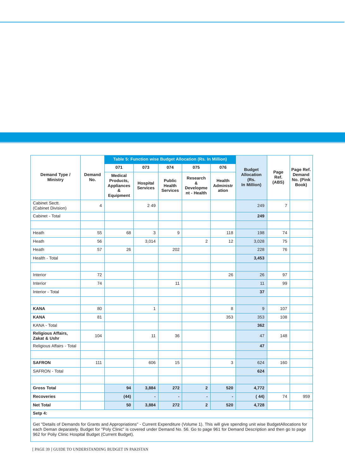|                                      | Demand<br>No.  | Table 5: Function wise Budget Allocation (Rs. In Million)          |                             |                                            |                                           |                                     |                                                           |                       |                                           |
|--------------------------------------|----------------|--------------------------------------------------------------------|-----------------------------|--------------------------------------------|-------------------------------------------|-------------------------------------|-----------------------------------------------------------|-----------------------|-------------------------------------------|
|                                      |                | 071                                                                | 073                         | 074                                        | 075                                       | 076                                 | <b>Budget</b><br><b>Allocation</b><br>(Rs.<br>In Million) | Page<br>Ref.<br>(ABS) | Page Ref.<br>Demand<br>No. (Pink<br>Book) |
| Demand Type /<br><b>Ministry</b>     |                | <b>Medical</b><br>Products,<br><b>Appliances</b><br>&<br>Equipment | Hospital<br><b>Services</b> | <b>Public</b><br>Health<br><b>Services</b> | Research<br>&<br>Developme<br>nt - Health | <b>Health</b><br>Administr<br>ation |                                                           |                       |                                           |
| Cabinet Sectt.<br>(Cabinet Division) | $\overline{4}$ |                                                                    | 2 4 9                       |                                            |                                           |                                     | 249                                                       | $\overline{7}$        |                                           |
| Cabinet - Total                      |                |                                                                    |                             |                                            |                                           |                                     | 249                                                       |                       |                                           |
|                                      |                |                                                                    |                             |                                            |                                           |                                     |                                                           |                       |                                           |
| Heath                                | 55             | 68                                                                 | 3                           | 9                                          |                                           | 118                                 | 198                                                       | 74                    |                                           |
| Heath                                | 56             |                                                                    | 3,014                       |                                            | $\overline{2}$                            | 12                                  | 3,028                                                     | 75                    |                                           |
| Heath                                | 57             | 26                                                                 |                             | 202                                        |                                           |                                     | 228                                                       | 76                    |                                           |
| Health - Total                       |                |                                                                    |                             |                                            |                                           |                                     | 3,453                                                     |                       |                                           |
|                                      |                |                                                                    |                             |                                            |                                           |                                     |                                                           |                       |                                           |
| Interior                             | 72             |                                                                    |                             |                                            |                                           | 26                                  | 26                                                        | 97                    |                                           |
| Interior                             | 74             |                                                                    |                             | 11                                         |                                           |                                     | 11                                                        | 99                    |                                           |
| Interior - Total                     |                |                                                                    |                             |                                            |                                           |                                     | 37                                                        |                       |                                           |
|                                      |                |                                                                    |                             |                                            |                                           |                                     |                                                           |                       |                                           |
| <b>KANA</b>                          | 80             |                                                                    | $\mathbf{1}$                |                                            |                                           | 8                                   | 9                                                         | 107                   |                                           |
| <b>KANA</b>                          | 81             |                                                                    |                             |                                            |                                           | 353                                 | 353                                                       | 108                   |                                           |
| KANA - Total                         |                |                                                                    |                             |                                            |                                           |                                     | 362                                                       |                       |                                           |
| Religious Affairs,<br>Zakat & Ushr   | 104            |                                                                    | 11                          | 36                                         |                                           |                                     | 47                                                        | 148                   |                                           |
| Religious Affairs - Total            |                |                                                                    |                             |                                            |                                           |                                     | 47                                                        |                       |                                           |
|                                      |                |                                                                    |                             |                                            |                                           |                                     |                                                           |                       |                                           |
| <b>SAFRON</b>                        | 111            |                                                                    | 606                         | 15                                         |                                           | 3                                   | 624                                                       | 160                   |                                           |
| SAFRON - Total                       |                |                                                                    |                             |                                            |                                           |                                     | 624                                                       |                       |                                           |
|                                      |                |                                                                    |                             |                                            |                                           |                                     |                                                           |                       |                                           |
| <b>Gross Total</b>                   |                | 94                                                                 | 3,884                       | 272                                        | $\overline{\mathbf{2}}$                   | 520                                 | 4,772                                                     |                       |                                           |
| <b>Recoveries</b>                    |                | (44)                                                               |                             | ÷,                                         | ä,                                        |                                     | (44)                                                      | 74                    | 959                                       |
| <b>Net Total</b>                     |                | 50                                                                 | 3,884                       | 272                                        | $\overline{\mathbf{2}}$                   | 520                                 | 4,728                                                     |                       |                                           |
| Setp 4:                              |                |                                                                    |                             |                                            |                                           |                                     |                                                           |                       |                                           |

Get "Details of Demands for Grants and Appropriations" - Current Expenditure (Volume 1). This will give spending unit wise BudgetAllocations for each Deman deparately. Budget for "Poly Clinic" is covered under Demand No. 56. Go to page 961 for Demand Description and then go to page 962 for Poliy Clinic Hospital Budget (Current Budget).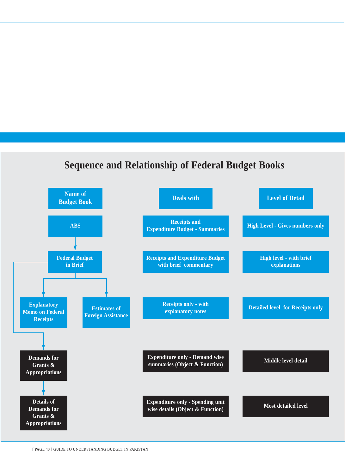## **Sequence and Relationship of Federal Budget Books**

![](_page_42_Figure_1.jpeg)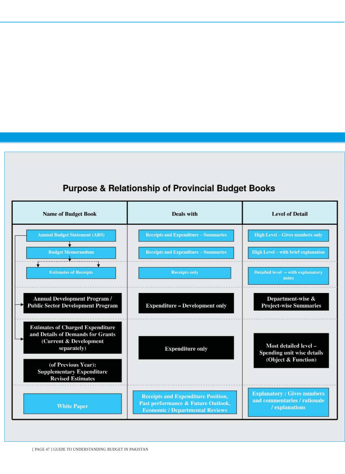## **Purpose & Relationship of Provincial Budget Books**

![](_page_43_Figure_1.jpeg)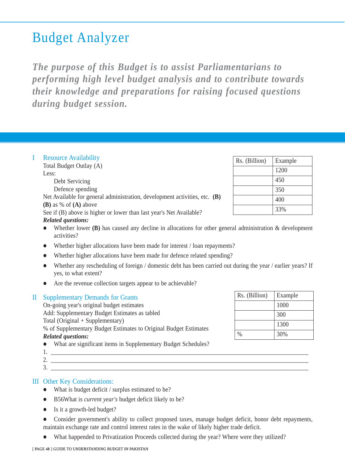| <b>Budget Analyzer</b>                                                                                                                                                                                                         |               |         |  |  |  |
|--------------------------------------------------------------------------------------------------------------------------------------------------------------------------------------------------------------------------------|---------------|---------|--|--|--|
| The purpose of this Budget is to assist Parliamentarians to<br>performing high level budget analysis and to contribute towards<br>their knowledge and preparations for raising focused questions<br>during budget session.     |               |         |  |  |  |
| I<br><b>Resource Availability</b>                                                                                                                                                                                              | Rs. (Billion) | Example |  |  |  |
| Total Budget Outlay (A)                                                                                                                                                                                                        |               | 1200    |  |  |  |
| Less:                                                                                                                                                                                                                          |               | 450     |  |  |  |
| Debt Servicing<br>Defence spending                                                                                                                                                                                             |               | 350     |  |  |  |
| Net Available for general administration, development activities, etc. (B)                                                                                                                                                     |               | 400     |  |  |  |
| $(B)$ as % of $(A)$ above                                                                                                                                                                                                      |               | 33%     |  |  |  |
| See if (B) above is higher or lower than last year's Net Available?<br><b>Related questions:</b>                                                                                                                               |               |         |  |  |  |
| Whether lower $(B)$ has caused any decline in allocations for other general administration & development<br>$\bullet$<br>activities?<br>Whether higher allocations have been made for interest / loan repayments?<br>$\bullet$ |               |         |  |  |  |
| Whether higher allocations have been made for defence related spending?<br>Whether any rescheduling of foreign / domestic debt has been carried out during the year / earlier years? If<br>$\bullet$                           |               |         |  |  |  |
| yes, to what extent?<br>Are the revenue collection targets appear to be achievable?<br>$\bullet$                                                                                                                               |               |         |  |  |  |
| <b>Supplementary Demands for Grants</b><br>П                                                                                                                                                                                   | Rs. (Billion) | Example |  |  |  |
| On-going year's original budget estimates                                                                                                                                                                                      |               | 1000    |  |  |  |
| Add: Supplementary Budget Estimates as tabled                                                                                                                                                                                  |               | 300     |  |  |  |
| Total (Original + Supplementary)                                                                                                                                                                                               |               | 1300    |  |  |  |
| % of Supplementary Budget Estimates to Original Budget Estimates<br><b>Related questions:</b>                                                                                                                                  | $\%$          | 30%     |  |  |  |
| What are significant items in Supplementary Budget Schedules?<br>$\bullet$                                                                                                                                                     |               |         |  |  |  |
| <b>Other Key Considerations:</b><br>Ш                                                                                                                                                                                          |               |         |  |  |  |
| What is budget deficit / surplus estimated to be?<br>$\bullet$                                                                                                                                                                 |               |         |  |  |  |
| B56What is current year's budget deficit likely to be?<br>$\bullet$                                                                                                                                                            |               |         |  |  |  |
| Is it a growth-led budget?<br>$\bullet$                                                                                                                                                                                        |               |         |  |  |  |
| Consider government's ability to collect proposed taxes, manage budget deficit, honor debt repayments,                                                                                                                         |               |         |  |  |  |
| maintain exchange rate and control interest rates in the wake of likely higher trade deficit.                                                                                                                                  |               |         |  |  |  |
| What happended to Privatization Proceeds collected during the year? Where were they utilized?<br>$\bullet$                                                                                                                     |               |         |  |  |  |
| [ PAGE 48 ] GUIDE TO UNDERSTANDING BUDGET IN PAKISTAN                                                                                                                                                                          |               |         |  |  |  |

- Whether lower **(B)** has caused any decline in allocations for other general administration & development activities?
- Whether higher allocations have been made for interest / loan repayments?
- Whether higher allocations have been made for defence related spending?
- Whether any rescheduling of foreign / domestic debt has been carried out during the year / earlier years? If yes, to what extent?
- Are the revenue collection targets appear to be achievable?

| <b>Supplementary Demands for Grants</b>                          |
|------------------------------------------------------------------|
| On-going year's original budget estimates                        |
| Add: Supplementary Budget Estimates as tabled                    |
| Total (Original + Supplementary)                                 |
| % of Supplementary Budget Estimates to Original Budget Estimates |
| <b>Related questions:</b>                                        |
| What are significant items in Supplementary Budget Schedules?    |
|                                                                  |

#### III Other Key Considerations:

- What is budget deficit / surplus estimated to be?
- **•** B56What is *current year's* budget deficit likely to be?
- $\bullet$  Is it a growth-led budget?
- Consider government's ability to collect proposed taxes, manage budget deficit, honor debt repayments, maintain exchange rate and control interest rates in the wake of likely higher trade deficit.
- What happended to Privatization Proceeds collected during the year? Where were they utilized?

| Rs. (Billion) | Example |
|---------------|---------|
|               | 1000    |
|               | 300     |
|               | 1300    |
|               | 30%     |
|               |         |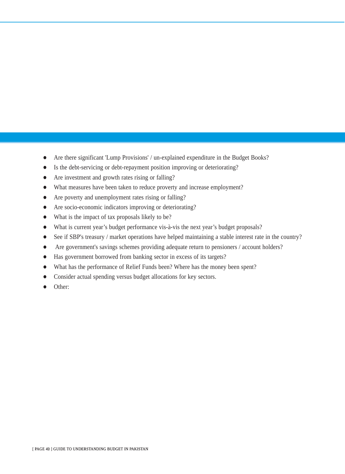- Are there significant 'Lump Provisions' / un-explained expenditure in the Budget Books?
- Is the debt-servicing or debt-repayment position improving or deteriorating?
- Are investment and growth rates rising or falling?
- What measures have been taken to reduce proverty and increase employment?
- Are poverty and unemployment rates rising or falling?
- Are socio-economic indicators improving or deteriorating?
- What is the impact of tax proposals likely to be?
- What is current year's budget performance vis-à-vis the next year's budget proposals?
- See if SBP's treasury / market operations have helped maintaining a stable interest rate in the country?
- Are government's savings schemes providing adequate return to pensioners / account holders?
- Has government borrowed from banking sector in excess of its targets?
- What has the performance of Relief Funds been? Where has the money been spent?
- Consider actual spending versus budget allocations for key sectors.
- Other: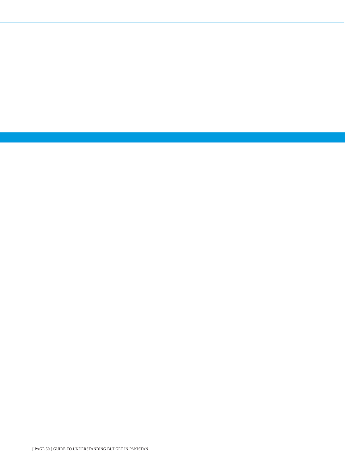[ PAGE 50 ] GUIDE TO UNDERSTANDING BUDGET IN PAKISTAN